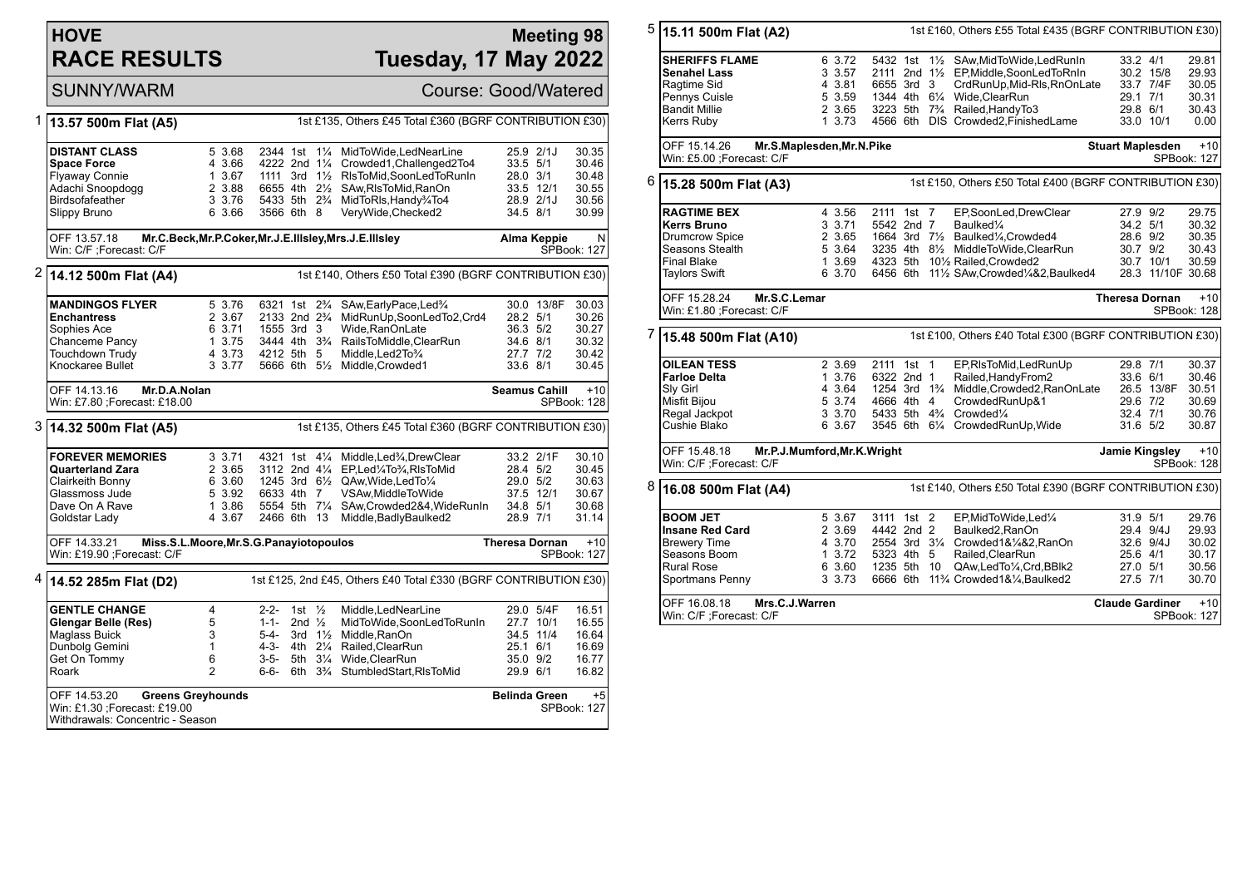# **HOVE RACE RESULTS**

#### **Meeting 98 Tuesday, 17 May 2022**

## SUNNY/WARM Course: Good/Watered

| 1<br>13.57 500m Flat (A5)                                                            |                                                                                                   |                                                                  |                                                      |                   |                | 1st £135, Others £45 Total £360 (BGRF CONTRIBUTION £30)                                 |                       |                                                   |                             |  |  |
|--------------------------------------------------------------------------------------|---------------------------------------------------------------------------------------------------|------------------------------------------------------------------|------------------------------------------------------|-------------------|----------------|-----------------------------------------------------------------------------------------|-----------------------|---------------------------------------------------|-----------------------------|--|--|
|                                                                                      | <b>DISTANT CLASS</b><br><b>Space Force</b><br><b>Flyaway Connie</b>                               | 5 3.68<br>4 3.66<br>1 3.67                                       | 2344 1st<br>4222 2nd 11/4<br>1111 3rd $1\frac{1}{2}$ |                   | $1\frac{1}{4}$ | MidToWide, LedNearLine<br>Crowded1, Challenged2To4<br>RIsToMid, SoonLedToRunIn          | 33.5 5/1<br>28.0 3/1  | 25.9 2/1J                                         | 30.35<br>30.46<br>30.48     |  |  |
|                                                                                      | Adachi Snoopdogg                                                                                  | 2 3.88                                                           |                                                      |                   |                | 6655 4th 21/2 SAw, RIs To Mid, RanOn                                                    | 33.5 12/1             |                                                   | 30.55                       |  |  |
|                                                                                      | Birdsofafeather                                                                                   | 3 3.76                                                           |                                                      |                   |                | 5433 5th 2 <sup>3</sup> / <sub>4</sub> MidToRIs, Handy <sup>3</sup> / <sub>4</sub> To4  |                       | 28.9 2/1J                                         | 30.56                       |  |  |
|                                                                                      | Slippy Bruno                                                                                      | 6 3.66                                                           | 3566 6th 8                                           |                   |                | VeryWide, Checked2                                                                      | 34.5 8/1              |                                                   | 30.99                       |  |  |
|                                                                                      | Mr.C.Beck, Mr.P.Coker, Mr.J.E.IIIsley, Mrs.J.E.IIIsley<br>OFF 13.57.18<br>Win: C/F ;Forecast: C/F |                                                                  |                                                      |                   |                |                                                                                         |                       | $\mathsf{N}$<br>Alma Keppie<br><b>SPBook: 127</b> |                             |  |  |
| 2<br>1st £140, Others £50 Total £390 (BGRF CONTRIBUTION £30)<br>14.12 500m Flat (A4) |                                                                                                   |                                                                  |                                                      |                   |                |                                                                                         |                       |                                                   |                             |  |  |
|                                                                                      | <b>MANDINGOS FLYER</b>                                                                            | 5 3.76                                                           |                                                      |                   |                | 6321 1st 2 <sup>3</sup> / <sub>4</sub> SAw, Early Pace, Led <sup>3</sup> / <sub>4</sub> |                       | 30.0 13/8F                                        | 30.03                       |  |  |
|                                                                                      | <b>Enchantress</b>                                                                                | 2 3.67                                                           | 2133 2nd 2 <sup>3</sup> / <sub>4</sub>               |                   |                | MidRunUp,SoonLedTo2,Crd4                                                                | 28.2 5/1              |                                                   | 30.26                       |  |  |
|                                                                                      | Sophies Ace                                                                                       | 6 3.71                                                           | 1555 3rd 3                                           |                   |                | Wide.RanOnLate                                                                          | 36.3 5/2              |                                                   | 30.27                       |  |  |
|                                                                                      | Chanceme Pancy                                                                                    | 1 3.75                                                           |                                                      |                   |                | 3444 4th 3 <sup>3</sup> / <sub>4</sub> RailsToMiddle, ClearRun                          | 34.6 8/1              |                                                   | 30.32                       |  |  |
|                                                                                      | Touchdown Trudy<br>Knockaree Bullet                                                               | 4 3.73<br>3 3.77                                                 | 4212 5th 5                                           |                   |                | Middle, Led 2To 3/4                                                                     | 27.7 7/2<br>33.6 8/1  |                                                   | 30.42<br>30.45              |  |  |
|                                                                                      |                                                                                                   |                                                                  |                                                      |                   |                | 5666 6th 51/2 Middle, Crowded1                                                          |                       |                                                   |                             |  |  |
|                                                                                      | OFF 14.13.16<br>Mr.D.A.Nolan                                                                      |                                                                  |                                                      |                   |                |                                                                                         | <b>Seamus Cahill</b>  |                                                   | $+10$                       |  |  |
|                                                                                      | Win: £7.80 ; Forecast: £18.00                                                                     |                                                                  |                                                      |                   |                |                                                                                         |                       |                                                   | SPBook: 128                 |  |  |
| 3                                                                                    | 14.32 500m Flat (A5)                                                                              |                                                                  |                                                      |                   |                | 1st £135, Others £45 Total £360 (BGRF CONTRIBUTION £30)                                 |                       |                                                   |                             |  |  |
|                                                                                      | <b>FOREVER MEMORIES</b>                                                                           | $3 \t3.71$                                                       |                                                      |                   |                | 4321 1st 41/4 Middle, Led <sup>3</sup> / <sub>4</sub> , Drew Clear                      |                       | 33.2 2/1F                                         | 30.10                       |  |  |
|                                                                                      | <b>Quarterland Zara</b>                                                                           | 2 3.65                                                           |                                                      |                   |                | 3112 2nd 41/4 EP, Led 1/4To 3/4, RIsTo Mid                                              | 28.4 5/2              |                                                   | 30.45                       |  |  |
|                                                                                      | Clairkeith Bonny                                                                                  | 6 3.60                                                           |                                                      |                   |                | 1245 3rd 61/2 QAw, Wide, Led To 1/4                                                     | 29.0 5/2              |                                                   | 30.63                       |  |  |
|                                                                                      | Glassmoss Jude                                                                                    | 5 3.92                                                           | 6633 4th 7                                           |                   |                | VSAw, Middle To Wide                                                                    | 37.5 12/1             |                                                   | 30.67                       |  |  |
|                                                                                      | Dave On A Rave<br>Goldstar Lady                                                                   | 1 3.86<br>4 3.67                                                 | 2466 6th 13                                          |                   |                | 5554 5th 71/4 SAw, Crowded 2&4, Wide Run In<br>Middle, Badly Baulked2                   | 34.8 5/1<br>28.9 7/1  |                                                   | 30.68<br>31.14              |  |  |
|                                                                                      |                                                                                                   |                                                                  |                                                      |                   |                |                                                                                         |                       |                                                   |                             |  |  |
|                                                                                      | OFF 14.33.21<br>Win: £19.90 ;Forecast: C/F                                                        | Miss.S.L.Moore, Mr.S.G.Panayiotopoulos                           |                                                      |                   |                |                                                                                         | <b>Theresa Dornan</b> |                                                   | $+10$<br><b>SPBook: 127</b> |  |  |
|                                                                                      |                                                                                                   |                                                                  |                                                      |                   |                |                                                                                         |                       |                                                   |                             |  |  |
|                                                                                      | <sup>4</sup> 14.52 285m Flat (D2)                                                                 | 1st £125, 2nd £45, Others £40 Total £330 (BGRF CONTRIBUTION £30) |                                                      |                   |                |                                                                                         |                       |                                                   |                             |  |  |
|                                                                                      | <b>GENTLE CHANGE</b>                                                                              | $\overline{4}$                                                   | $2 - 2 -$                                            | 1st $\frac{1}{2}$ |                | Middle, LedNearLine                                                                     |                       | 29.0 5/4F                                         | 16.51                       |  |  |
|                                                                                      | Glengar Belle (Res)                                                                               | 5                                                                | $1 - 1 -$                                            | 2nd $\frac{1}{2}$ |                | MidToWide,SoonLedToRunIn                                                                | 27.7 10/1             |                                                   | 16.55                       |  |  |
|                                                                                      | <b>Maglass Buick</b>                                                                              | 3                                                                | 5-4-                                                 |                   |                | 3rd 11/2 Middle, RanOn                                                                  | 34.5 11/4             |                                                   | 16.64                       |  |  |
|                                                                                      | Dunbolg Gemini                                                                                    | 1                                                                | 4-3-                                                 | 4th 21/4          |                | Railed.ClearRun                                                                         | 25.1 6/1              |                                                   | 16.69                       |  |  |
|                                                                                      | Get On Tommy                                                                                      | 6                                                                | $3 - 5 -$                                            |                   |                | 5th 31/4 Wide, ClearRun                                                                 | 35.0 9/2              |                                                   | 16.77                       |  |  |
|                                                                                      | Roark                                                                                             | $\overline{2}$                                                   | $6 - 6 -$                                            |                   |                | 6th 3 <sup>3</sup> / <sub>4</sub> StumbledStart, RIsToMid                               | 29.9 6/1              |                                                   | 16.82                       |  |  |
|                                                                                      | OFF 14.53.20<br><b>Greens Greyhounds</b>                                                          |                                                                  |                                                      |                   |                |                                                                                         |                       | <b>Belinda Green</b>                              | $+5$                        |  |  |
|                                                                                      | Win: £1.30 ; Forecast: £19.00<br>Withdrawals: Concentric - Season                                 |                                                                  |                                                      |                   |                |                                                                                         |                       |                                                   | SPBook: 127                 |  |  |

| 5 | 15.11 500m Flat (A2)                         | 1st £160, Others £55 Total £435 (BGRF CONTRIBUTION £30) |                                                 |  |                                                                                          |                        |                   |                      |
|---|----------------------------------------------|---------------------------------------------------------|-------------------------------------------------|--|------------------------------------------------------------------------------------------|------------------------|-------------------|----------------------|
|   | <b>SHERIFFS FLAME</b><br><b>Senahel Lass</b> | 6 3.72<br>3 3.57                                        |                                                 |  | 5432 1st 11/2 SAw, MidToWide, Led Run In<br>2111 2nd 11/2 EP, Middle, SoonLedToRnIn      | 33.2 4/1               | 30.2 15/8         | 29.81<br>29.93       |
|   | Ragtime Sid                                  | 4 3.81                                                  | 6655 3rd 3                                      |  | CrdRunUp, Mid-RIs, RnOnLate                                                              |                        | 33.7 7/4F         | 30.05                |
|   | Pennys Cuisle                                | 5 3.59                                                  |                                                 |  | 1344 4th 61/4 Wide, Clear Run                                                            | 29.1 7/1               |                   | 30.31                |
|   | <b>Bandit Millie</b>                         | 2 3.65                                                  |                                                 |  | 3223 5th 7 <sup>3</sup> / <sub>4</sub> Railed, Handy To 3                                | 29.8 6/1               |                   | 30.43                |
|   | Kerrs Ruby                                   | 13.73                                                   |                                                 |  | 4566 6th DIS Crowded2, Finished Lame                                                     |                        | 33.0 10/1         | 0.00                 |
|   | OFF 15.14.26<br>Win: £5.00 ;Forecast: C/F    | Mr.S.Maplesden, Mr.N.Pike                               | $+10$<br><b>Stuart Maplesden</b><br>SPBook: 127 |  |                                                                                          |                        |                   |                      |
| 6 | 15.28 500m Flat (A3)                         | 1st £150, Others £50 Total £400 (BGRF CONTRIBUTION £30) |                                                 |  |                                                                                          |                        |                   |                      |
|   | <b>RAGTIME BEX</b>                           | 4 3.56                                                  | 2111 1st 7                                      |  | EP,SoonLed,DrewClear                                                                     | 27.9 9/2               |                   | 29.75                |
|   | <b>Kerrs Bruno</b>                           | 3 3.71                                                  | 5542 2nd 7                                      |  | Baulked <sup>1/4</sup>                                                                   | 34.2 5/1               |                   | 30.32                |
|   | <b>Drumcrow Spice</b>                        | 2 3.65                                                  |                                                 |  | 1664 3rd 71/2 Baulked1/4, Crowded4                                                       | 28.6 9/2               |                   | 30.35                |
|   | Seasons Stealth                              | 5 3.64                                                  |                                                 |  | 3235 4th 81/2 MiddleToWide, ClearRun                                                     | 30.7 9/2               |                   | 30.43                |
|   | <b>Final Blake</b>                           | 1 3.69                                                  |                                                 |  | 4323 5th 101/2 Railed, Crowded 2                                                         |                        | 30.7 10/1         | 30.59                |
|   | <b>Taylors Swift</b>                         | 6 3.70                                                  |                                                 |  | 6456 6th 111/2 SAw, Crowded 1/4&2, Baulked 4                                             |                        | 28.3 11/10F 30.68 |                      |
|   | OFF 15.28.24<br>Win: £1.80 ; Forecast: C/F   | Mr.S.C.Lemar                                            |                                                 |  |                                                                                          | <b>Theresa Dornan</b>  |                   | $+10$<br>SPBook: 128 |
| 7 | 15.48 500m Flat (A10)                        |                                                         |                                                 |  | 1st £100, Others £40 Total £300 (BGRF CONTRIBUTION £30)                                  |                        |                   |                      |
|   | <b>OILEAN TESS</b>                           | 2 3.69                                                  | 2111 1st 1                                      |  | EP,RIsToMid,LedRunUp                                                                     | 29.8 7/1               |                   | 30.37                |
|   | <b>Farloe Delta</b>                          | 1 3.76                                                  | 6322 2nd 1                                      |  | Railed, Handy From 2                                                                     | 33.6 6/1               |                   | 30.46                |
|   | Sly Girl                                     | 4 3.64                                                  |                                                 |  | 1254 3rd 1 <sup>3</sup> / <sub>4</sub> Middle, Crowded 2, RanOn Late                     |                        | 26.5 13/8F        | 30.51                |
|   | Misfit Bijou                                 | 5 3.74                                                  | 4666 4th 4                                      |  | CrowdedRunUp&1                                                                           | 29.6 7/2               |                   | 30.69                |
|   | Regal Jackpot                                | 3 3.70                                                  |                                                 |  | 5433 5th 4 <sup>3</sup> / <sub>4</sub> Crowded <sup>1</sup> / <sub>4</sub>               | 32.4 7/1               |                   | 30.76                |
|   | Cushie Blako                                 | 6 3.67                                                  |                                                 |  | 3545 6th 61/4 CrowdedRunUp, Wide                                                         | 31.6 5/2               |                   | 30.87                |
|   | OFF 15.48.18<br>Win: C/F ; Forecast: C/F     | Mr.P.J.Mumford, Mr.K. Wright                            |                                                 |  |                                                                                          | Jamie Kingsley         |                   | $+10$<br>SPBook: 128 |
| 8 | 16.08 500m Flat (A4)                         |                                                         |                                                 |  | 1st £140, Others £50 Total £390 (BGRF CONTRIBUTION £30)                                  |                        |                   |                      |
|   | <b>BOOM JET</b>                              | 5 3.67                                                  | 3111 1st 2                                      |  | EP, MidToWide, Led <sup>1/4</sup>                                                        | 31.9 5/1               |                   | 29.76                |
|   | <b>Insane Red Card</b>                       | 2 3.69                                                  | 4442 2nd 2                                      |  | Baulked2, RanOn                                                                          |                        | 29.4 9/4J         | 29.93                |
|   | <b>Brewery Time</b>                          | 4 3.70                                                  |                                                 |  | 2554 3rd 31/4 Crowded1&1/4&2, RanOn                                                      |                        | 32.6 9/4J         | 30.02                |
|   | Seasons Boom                                 | 13.72                                                   | 5323 4th 5                                      |  | Railed, ClearRun                                                                         | 25.6 4/1               |                   | 30.17                |
|   | <b>Rural Rose</b>                            | 6 3.60                                                  | 1235 5th 10                                     |  | QAw,LedTo1/4,Crd,BBlk2                                                                   | 27.0 5/1               |                   | 30.56                |
|   | Sportmans Penny                              | 3, 3.73                                                 |                                                 |  | 6666 6th 11 <sup>3</sup> / <sub>4</sub> Crowded1& <sup>1</sup> / <sub>4</sub> , Baulked2 | 27.5 7/1               |                   | 30.70                |
|   | OFF 16.08.18<br>Win: C/F : Forecast: C/F     | Mrs.C.J.Warren                                          |                                                 |  |                                                                                          | <b>Claude Gardiner</b> |                   | $+10$<br>SPBook: 127 |